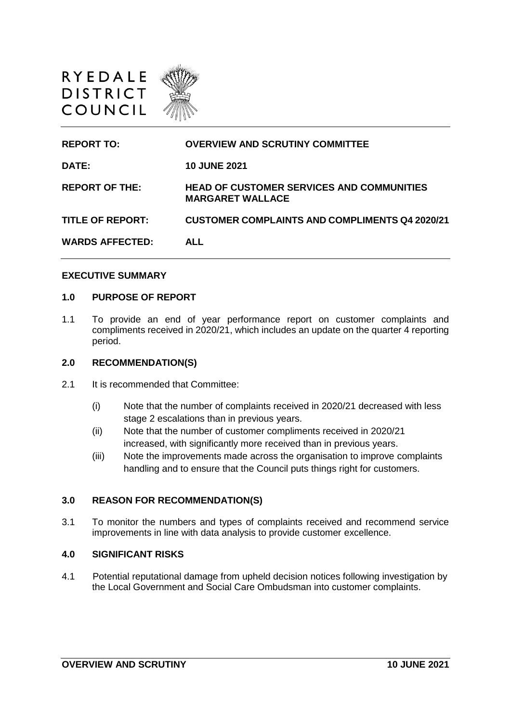

| <b>REPORT TO:</b>       | <b>OVERVIEW AND SCRUTINY COMMITTEE</b>                                      |
|-------------------------|-----------------------------------------------------------------------------|
| <b>DATE:</b>            | <b>10 JUNE 2021</b>                                                         |
| <b>REPORT OF THE:</b>   | <b>HEAD OF CUSTOMER SERVICES AND COMMUNITIES</b><br><b>MARGARET WALLACE</b> |
| <b>TITLE OF REPORT:</b> | <b>CUSTOMER COMPLAINTS AND COMPLIMENTS Q4 2020/21</b>                       |
| <b>WARDS AFFECTED:</b>  | <b>ALL</b>                                                                  |
|                         |                                                                             |

#### **EXECUTIVE SUMMARY**

#### **1.0 PURPOSE OF REPORT**

1.1 To provide an end of year performance report on customer complaints and compliments received in 2020/21, which includes an update on the quarter 4 reporting period.

#### **2.0 RECOMMENDATION(S)**

- 2.1 It is recommended that Committee:
	- (i) Note that the number of complaints received in 2020/21 decreased with less stage 2 escalations than in previous years.
	- (ii) Note that the number of customer compliments received in 2020/21 increased, with significantly more received than in previous years.
	- (iii) Note the improvements made across the organisation to improve complaints handling and to ensure that the Council puts things right for customers.

#### **3.0 REASON FOR RECOMMENDATION(S)**

3.1 To monitor the numbers and types of complaints received and recommend service improvements in line with data analysis to provide customer excellence.

## **4.0 SIGNIFICANT RISKS**

4.1 Potential reputational damage from upheld decision notices following investigation by the Local Government and Social Care Ombudsman into customer complaints.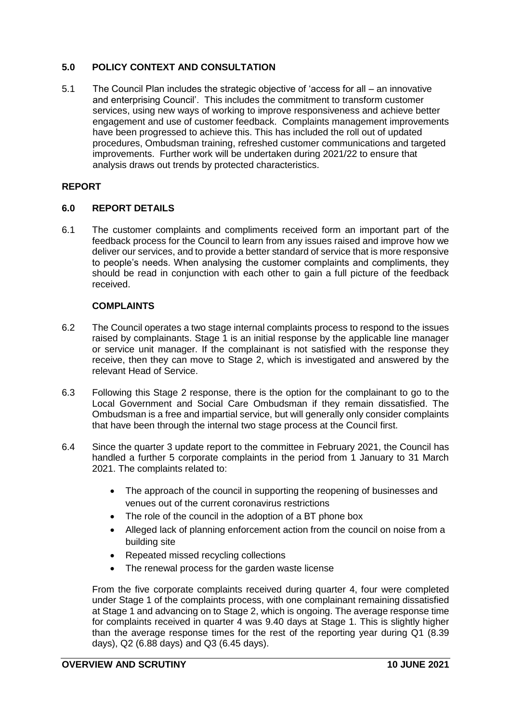# **5.0 POLICY CONTEXT AND CONSULTATION**

5.1 The Council Plan includes the strategic objective of 'access for all – an innovative and enterprising Council'. This includes the commitment to transform customer services, using new ways of working to improve responsiveness and achieve better engagement and use of customer feedback. Complaints management improvements have been progressed to achieve this. This has included the roll out of updated procedures, Ombudsman training, refreshed customer communications and targeted improvements. Further work will be undertaken during 2021/22 to ensure that analysis draws out trends by protected characteristics.

## **REPORT**

## **6.0 REPORT DETAILS**

6.1 The customer complaints and compliments received form an important part of the feedback process for the Council to learn from any issues raised and improve how we deliver our services, and to provide a better standard of service that is more responsive to people's needs. When analysing the customer complaints and compliments, they should be read in conjunction with each other to gain a full picture of the feedback received.

## **COMPLAINTS**

- 6.2 The Council operates a two stage internal complaints process to respond to the issues raised by complainants. Stage 1 is an initial response by the applicable line manager or service unit manager. If the complainant is not satisfied with the response they receive, then they can move to Stage 2, which is investigated and answered by the relevant Head of Service.
- 6.3 Following this Stage 2 response, there is the option for the complainant to go to the Local Government and Social Care Ombudsman if they remain dissatisfied. The Ombudsman is a free and impartial service, but will generally only consider complaints that have been through the internal two stage process at the Council first.
- 6.4 Since the quarter 3 update report to the committee in February 2021, the Council has handled a further 5 corporate complaints in the period from 1 January to 31 March 2021. The complaints related to:
	- The approach of the council in supporting the reopening of businesses and venues out of the current coronavirus restrictions
	- The role of the council in the adoption of a BT phone box
	- Alleged lack of planning enforcement action from the council on noise from a building site
	- Repeated missed recycling collections
	- The renewal process for the garden waste license

From the five corporate complaints received during quarter 4, four were completed under Stage 1 of the complaints process, with one complainant remaining dissatisfied at Stage 1 and advancing on to Stage 2, which is ongoing. The average response time for complaints received in quarter 4 was 9.40 days at Stage 1. This is slightly higher than the average response times for the rest of the reporting year during Q1 (8.39 days), Q2 (6.88 days) and Q3 (6.45 days).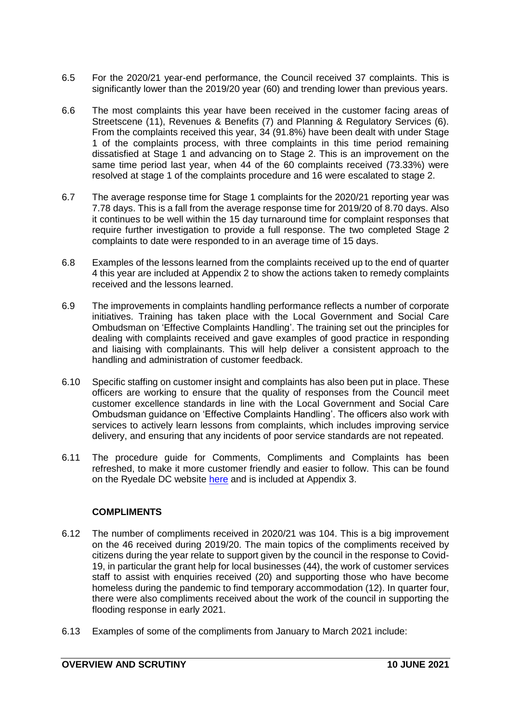- 6.5 For the 2020/21 year-end performance, the Council received 37 complaints. This is significantly lower than the 2019/20 year (60) and trending lower than previous years.
- 6.6 The most complaints this year have been received in the customer facing areas of Streetscene (11), Revenues & Benefits (7) and Planning & Regulatory Services (6). From the complaints received this year, 34 (91.8%) have been dealt with under Stage 1 of the complaints process, with three complaints in this time period remaining dissatisfied at Stage 1 and advancing on to Stage 2. This is an improvement on the same time period last year, when 44 of the 60 complaints received (73.33%) were resolved at stage 1 of the complaints procedure and 16 were escalated to stage 2.
- 6.7 The average response time for Stage 1 complaints for the 2020/21 reporting year was 7.78 days. This is a fall from the average response time for 2019/20 of 8.70 days. Also it continues to be well within the 15 day turnaround time for complaint responses that require further investigation to provide a full response. The two completed Stage 2 complaints to date were responded to in an average time of 15 days.
- 6.8 Examples of the lessons learned from the complaints received up to the end of quarter 4 this year are included at Appendix 2 to show the actions taken to remedy complaints received and the lessons learned.
- 6.9 The improvements in complaints handling performance reflects a number of corporate initiatives. Training has taken place with the Local Government and Social Care Ombudsman on 'Effective Complaints Handling'. The training set out the principles for dealing with complaints received and gave examples of good practice in responding and liaising with complainants. This will help deliver a consistent approach to the handling and administration of customer feedback.
- 6.10 Specific staffing on customer insight and complaints has also been put in place. These officers are working to ensure that the quality of responses from the Council meet customer excellence standards in line with the Local Government and Social Care Ombudsman guidance on 'Effective Complaints Handling'. The officers also work with services to actively learn lessons from complaints, which includes improving service delivery, and ensuring that any incidents of poor service standards are not repeated.
- 6.11 The procedure guide for Comments, Compliments and Complaints has been refreshed, to make it more customer friendly and easier to follow. This can be found on the Ryedale DC website [here](https://www.ryedale.gov.uk/images/PDF/Complaints_compliments_and_feedback_procedure_PUBLIC_FINAL_26.05.21.pdf) and is included at Appendix 3.

# **COMPLIMENTS**

- 6.12 The number of compliments received in 2020/21 was 104. This is a big improvement on the 46 received during 2019/20. The main topics of the compliments received by citizens during the year relate to support given by the council in the response to Covid-19, in particular the grant help for local businesses (44), the work of customer services staff to assist with enquiries received (20) and supporting those who have become homeless during the pandemic to find temporary accommodation (12). In quarter four, there were also compliments received about the work of the council in supporting the flooding response in early 2021.
- 6.13 Examples of some of the compliments from January to March 2021 include: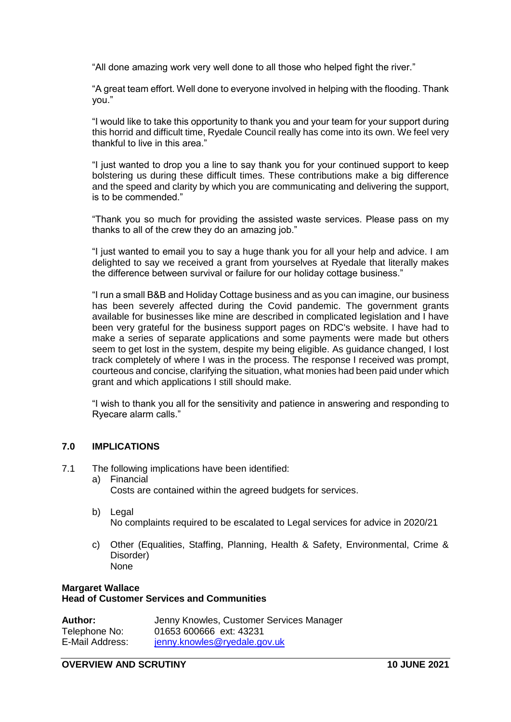"All done amazing work very well done to all those who helped fight the river."

"A great team effort. Well done to everyone involved in helping with the flooding. Thank you."

"I would like to take this opportunity to thank you and your team for your support during this horrid and difficult time, Ryedale Council really has come into its own. We feel very thankful to live in this area."

"I just wanted to drop you a line to say thank you for your continued support to keep bolstering us during these difficult times. These contributions make a big difference and the speed and clarity by which you are communicating and delivering the support, is to be commended."

"Thank you so much for providing the assisted waste services. Please pass on my thanks to all of the crew they do an amazing job."

"I just wanted to email you to say a huge thank you for all your help and advice. I am delighted to say we received a grant from yourselves at Ryedale that literally makes the difference between survival or failure for our holiday cottage business."

"I run a small B&B and Holiday Cottage business and as you can imagine, our business has been severely affected during the Covid pandemic. The government grants available for businesses like mine are described in complicated legislation and I have been very grateful for the business support pages on RDC's website. I have had to make a series of separate applications and some payments were made but others seem to get lost in the system, despite my being eligible. As guidance changed, I lost track completely of where I was in the process. The response I received was prompt, courteous and concise, clarifying the situation, what monies had been paid under which grant and which applications I still should make.

"I wish to thank you all for the sensitivity and patience in answering and responding to Ryecare alarm calls."

## **7.0 IMPLICATIONS**

- 7.1 The following implications have been identified:
	- a) Financial Costs are contained within the agreed budgets for services.
	- b) Legal No complaints required to be escalated to Legal services for advice in 2020/21
	- c) Other (Equalities, Staffing, Planning, Health & Safety, Environmental, Crime & Disorder) None

## **Margaret Wallace Head of Customer Services and Communities**

| <b>Author:</b>  | Jenny Knowles, Customer Services Manager |
|-----------------|------------------------------------------|
| Telephone No:   | 01653 600666 ext: 43231                  |
| E-Mail Address: | jenny.knowles@ryedale.gov.uk             |